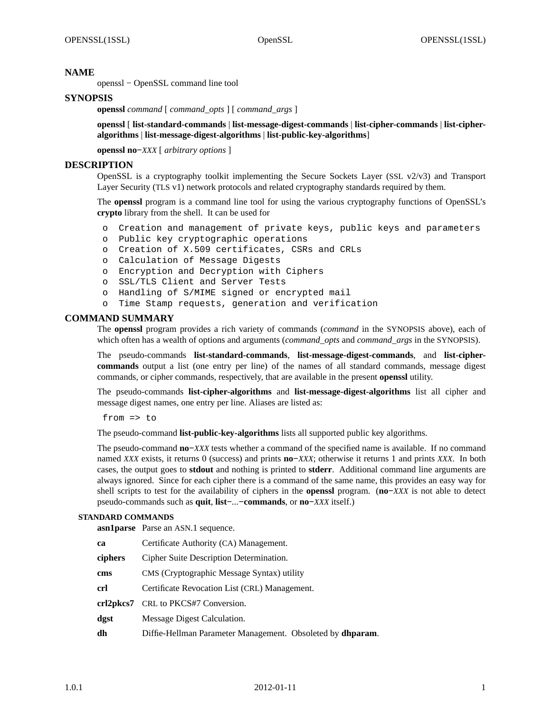## **NAME**

openssl − OpenSSL command line tool

# **SYNOPSIS**

**openssl** *command* [ *command\_opts* ] [ *command\_args* ]

**openssl** [ **list-standard-commands** | **list-message-digest-commands** | **list-cipher-commands** | **list-cipheralgorithms** | **list-message-digest-algorithms** | **list-public-key-algorithms**]

**openssl no−***XXX* [ *arbitrary options* ]

## **DESCRIPTION**

OpenSSL is a cryptography toolkit implementing the Secure Sockets Layer (SSL v2/v3) and Transport Layer Security (TLS v1) network protocols and related cryptography standards required by them.

The **openssl** program is a command line tool for using the various cryptography functions of OpenSSL's **crypto** library from the shell. It can be used for

- o Creation and management of private keys, public keys and parameters
- o Public key cryptographic operations
- o Creation of X.509 certificates, CSRs and CRLs
- o Calculation of Message Digests
- o Encryption and Decryption with Ciphers
- o SSL/TLS Client and Server Tests
- o Handling of S/MIME signed or encrypted mail
- o Time Stamp requests, generation and verification

#### **COMMAND SUMMARY**

The **openssl** program provides a rich variety of commands (*command* in the SYNOPSIS above), each of which often has a wealth of options and arguments (*command\_opts* and *command\_args* in the SYNOPSIS).

The pseudo-commands **list-standard-commands**, **list-message-digest-commands**, and **list-ciphercommands** output a list (one entry per line) of the names of all standard commands, message digest commands, or cipher commands, respectively, that are available in the present **openssl** utility.

The pseudo-commands **list-cipher-algorithms** and **list-message-digest-algorithms** list all cipher and message digest names, one entry per line. Aliases are listed as:

from  $\Rightarrow$  to

The pseudo-command **list-public-key-algorithms** lists all supported public key algorithms.

The pseudo-command **no−***XXX* tests whether a command of the specified name is available. If no command named *XXX* exists, it returns 0 (success) and prints **no−***XXX*; otherwise it returns 1 and prints *XXX*. In both cases, the output goes to **stdout** and nothing is printed to **stderr**. Additional command line arguments are always ignored. Since for each cipher there is a command of the same name, this provides an easy way for shell scripts to test for the availability of ciphers in the **openssl** program. (**no−***XXX* is not able to detect pseudo-commands such as **quit**, **list−***...***−commands**, or **no−***XXX* itself.)

#### **STANDARD COMMANDS**

**asn1parse** Parse an ASN.1 sequence.

| ca      | Certificate Authority (CA) Management.                             |  |
|---------|--------------------------------------------------------------------|--|
| ciphers | Cipher Suite Description Determination.                            |  |
| cms     | CMS (Cryptographic Message Syntax) utility                         |  |
| crl     | Certificate Revocation List (CRL) Management.                      |  |
|         | crl2pkcs7 CRL to PKCS#7 Conversion.                                |  |
| dgst    | Message Digest Calculation.                                        |  |
| dh      | Diffie-Hellman Parameter Management. Obsoleted by <b>dhparam</b> . |  |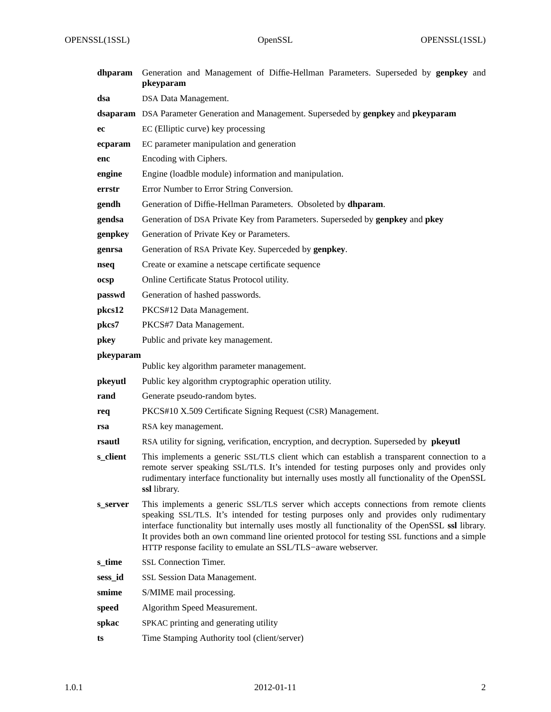OPENSSL(1SSL) OpenSSL OpenSSL OPENSSL(1SSL)

| dhparam   | Generation and Management of Diffie-Hellman Parameters. Superseded by genpkey and<br>pkeyparam                                                                                                                                                                                                                                                                                                                                                          |
|-----------|---------------------------------------------------------------------------------------------------------------------------------------------------------------------------------------------------------------------------------------------------------------------------------------------------------------------------------------------------------------------------------------------------------------------------------------------------------|
| dsa       | DSA Data Management.                                                                                                                                                                                                                                                                                                                                                                                                                                    |
|           | dsaparam DSA Parameter Generation and Management. Superseded by genpkey and pkeyparam                                                                                                                                                                                                                                                                                                                                                                   |
| ec        | EC (Elliptic curve) key processing                                                                                                                                                                                                                                                                                                                                                                                                                      |
| ecparam   | EC parameter manipulation and generation                                                                                                                                                                                                                                                                                                                                                                                                                |
| enc       | Encoding with Ciphers.                                                                                                                                                                                                                                                                                                                                                                                                                                  |
| engine    | Engine (loadble module) information and manipulation.                                                                                                                                                                                                                                                                                                                                                                                                   |
| errstr    | Error Number to Error String Conversion.                                                                                                                                                                                                                                                                                                                                                                                                                |
| gendh     | Generation of Diffie-Hellman Parameters. Obsoleted by dhparam.                                                                                                                                                                                                                                                                                                                                                                                          |
| gendsa    | Generation of DSA Private Key from Parameters. Superseded by genpkey and pkey                                                                                                                                                                                                                                                                                                                                                                           |
| genpkey   | Generation of Private Key or Parameters.                                                                                                                                                                                                                                                                                                                                                                                                                |
| genrsa    | Generation of RSA Private Key. Superceded by genpkey.                                                                                                                                                                                                                                                                                                                                                                                                   |
| nseq      | Create or examine a netscape certificate sequence                                                                                                                                                                                                                                                                                                                                                                                                       |
| ocsp      | Online Certificate Status Protocol utility.                                                                                                                                                                                                                                                                                                                                                                                                             |
| passwd    | Generation of hashed passwords.                                                                                                                                                                                                                                                                                                                                                                                                                         |
| pkcs12    | PKCS#12 Data Management.                                                                                                                                                                                                                                                                                                                                                                                                                                |
| pkcs7     | PKCS#7 Data Management.                                                                                                                                                                                                                                                                                                                                                                                                                                 |
| pkey      | Public and private key management.                                                                                                                                                                                                                                                                                                                                                                                                                      |
| pkeyparam |                                                                                                                                                                                                                                                                                                                                                                                                                                                         |
|           | Public key algorithm parameter management.                                                                                                                                                                                                                                                                                                                                                                                                              |
| pkeyutl   | Public key algorithm cryptographic operation utility.                                                                                                                                                                                                                                                                                                                                                                                                   |
| rand      | Generate pseudo-random bytes.                                                                                                                                                                                                                                                                                                                                                                                                                           |
| req       | PKCS#10 X.509 Certificate Signing Request (CSR) Management.                                                                                                                                                                                                                                                                                                                                                                                             |
| rsa       | RSA key management.                                                                                                                                                                                                                                                                                                                                                                                                                                     |
| rsautl    | RSA utility for signing, verification, encryption, and decryption. Superseded by pkeyutl                                                                                                                                                                                                                                                                                                                                                                |
| s_client  | This implements a generic SSL/TLS client which can establish a transparent connection to a<br>remote server speaking SSL/TLS. It's intended for testing purposes only and provides only<br>rudimentary interface functionality but internally uses mostly all functionality of the OpenSSL<br>ssl library.                                                                                                                                              |
| s server  | This implements a generic SSL/TLS server which accepts connections from remote clients<br>speaking SSL/TLS. It's intended for testing purposes only and provides only rudimentary<br>interface functionality but internally uses mostly all functionality of the OpenSSL ssl library.<br>It provides both an own command line oriented protocol for testing SSL functions and a simple<br>HTTP response facility to emulate an SSL/TLS-aware webserver. |
| s_time    | SSL Connection Timer.                                                                                                                                                                                                                                                                                                                                                                                                                                   |
| sess_id   | SSL Session Data Management.                                                                                                                                                                                                                                                                                                                                                                                                                            |
| smime     | S/MIME mail processing.                                                                                                                                                                                                                                                                                                                                                                                                                                 |
| speed     | Algorithm Speed Measurement.                                                                                                                                                                                                                                                                                                                                                                                                                            |
| spkac     | SPKAC printing and generating utility                                                                                                                                                                                                                                                                                                                                                                                                                   |
| ts        | Time Stamping Authority tool (client/server)                                                                                                                                                                                                                                                                                                                                                                                                            |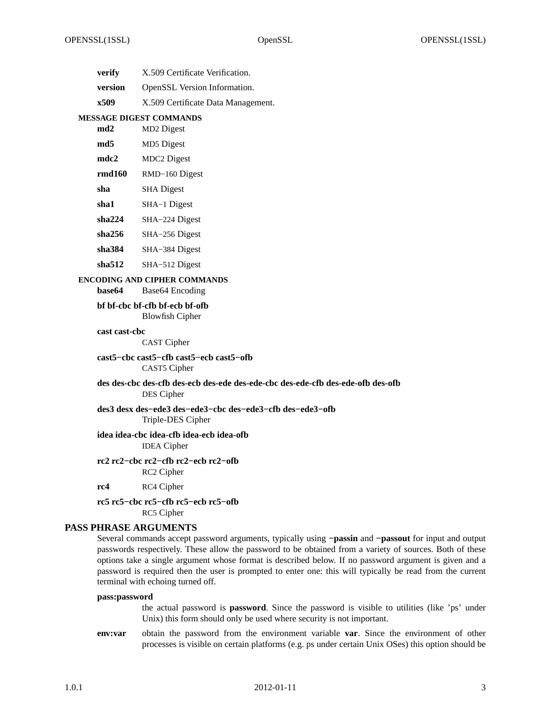| verify  | X.509 Certificate Verification.     |
|---------|-------------------------------------|
| version | <b>OpenSSL</b> Version Information. |
| x509    | X.509 Certificate Data Management.  |

#### **MESSAGE DIGEST COMMANDS**

| md2    | MD <sub>2</sub> Digest |
|--------|------------------------|
| md5    | MD5 Digest             |
| mdc2   | <b>MDC2</b> Digest     |
| rmd160 | RMD-160 Digest         |
| sha    | <b>SHA</b> Digest      |
| sha1   | SHA-1 Digest           |
| sha224 | SHA-224 Digest         |
| sha256 | SHA-256 Digest         |
| sha384 | SHA-384 Digest         |
| sha512 | SHA-512 Digest         |

#### **ENCODING AND CIPHER COMMANDS**

**base64** Base64 Encoding

# **bf bf-cbc bf-cfb bf-ecb bf-ofb**

Blowfish Cipher

#### **cast cast-cbc**

CAST Cipher

#### **cast5−cbc cast5−cfb cast5−ecb cast5−ofb** CAST5 Cipher

#### **des des-cbc des-cfb des-ecb des-ede des-ede-cbc des-ede-cfb des-ede-ofb des-ofb** DES Cipher

## **des3 desx des−ede3 des−ede3−cbc des−ede3−cfb des−ede3−ofb** Triple-DES Cipher

#### **idea idea-cbc idea-cfb idea-ecb idea-ofb** IDEA Cipher

- **rc2 rc2−cbc rc2−cfb rc2−ecb rc2−ofb** RC2 Cipher
- **rc4** RC4 Cipher

# **rc5 rc5−cbc rc5−cfb rc5−ecb rc5−ofb** RC5 Cipher

# **PASS PHRASE ARGUMENTS**

Several commands accept password arguments, typically using **−passin** and **−passout** for input and output passwords respectively. These allow the password to be obtained from a variety of sources. Both of these options take a single argument whose format is described below. If no password argument is given and a password is required then the user is prompted to enter one: this will typically be read from the current terminal with echoing turned off.

#### **pass:password**

the actual password is **password**. Since the password is visible to utilities (like 'ps' under Unix) this form should only be used where security is not important.

**env:var** obtain the password from the environment variable **var**. Since the environment of other processes is visible on certain platforms (e.g. ps under certain Unix OSes) this option should be